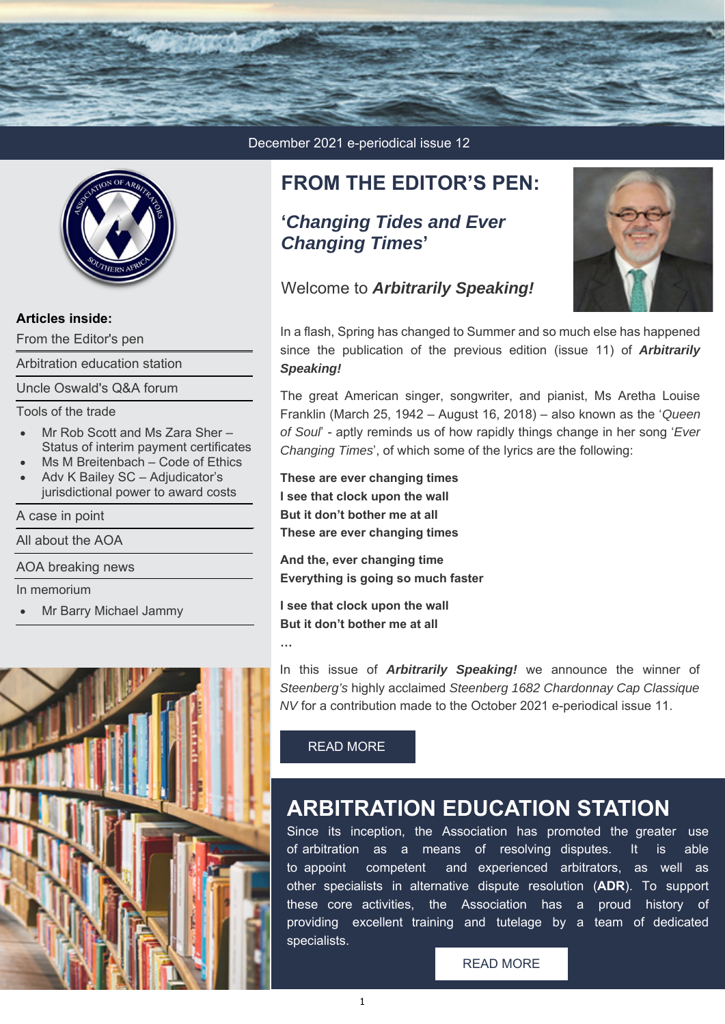



### **Articles inside:**

[From the Editor's pen](https://associationofarbitrators.lt.acemlnb.com/Prod/link-tracker?redirectUrl=aHR0cHMlM0ElMkYlMkZ3d3cuYXJiaXRyYXRvcnMuY28uemElMkZmcm9tLXRoZS1lZGl0b3JzLXBlbi1ub3ZlbWJlci0yMDIxJTJG&sig=Aco4ZaS4PPP4sBgvCXcAZffuBxAe7cnUDx4p9rnF4NYu&iat=1638338707&a=%7C%7C224134403%7C%7C&account=associationofarbitrators%2Eactivehosted%2Ecom&email=ulZsS3SqLjvzT4FLmN9rpxIYvJ4keyjQBdMsXRfmE20%3D&s=d1174a6b516d0d60c94447d4e3c326e7&i=30A70A6A440)

[Arbitration education station](https://www.arbitrators.co.za/education/)

[Uncle Oswald's Q&A forum](https://associationofarbitrators.lt.acemlnb.com/Prod/link-tracker?redirectUrl=aHR0cHMlM0ElMkYlMkZ3d3cuYXJiaXRyYXRvcnMuY28uemElMkZ1bmNsZS1vc3dhbGRzLXFhLWZvcnVtLW5vdmVtYmVyLTIwMjElMkY=&sig=E2s2hnie922NgcZSisM1yyNjBbJc9rsgrndKtQoSAA3T&iat=1638338707&a=%7C%7C224134403%7C%7C&account=associationofarbitrators%2Eactivehosted%2Ecom&email=ulZsS3SqLjvzT4FLmN9rpxIYvJ4keyjQBdMsXRfmE20%3D&s=d1174a6b516d0d60c94447d4e3c326e7&i=30A70A6A441)

Tools of the trade

- Mr Rob Scott and Ms Zara Sher [Status of interim payment certificates](https://associationofarbitrators.lt.acemlnb.com/Prod/link-tracker?redirectUrl=aHR0cHMlM0ElMkYlMkZ3d3cuYXJiaXRyYXRvcnMuY28uemElMkZ0b29scy1vZi10aGUtdHJhZGVfbXItcm9iLXNjb3R0LWFuZC1tcy16YXJhLXNoZXItc3RhdHVzLW9mLWludGVyaW0tcGF5bWVudC1jZXJ0aWZpY2F0ZXMtbm92ZW1iZXItMjAyMSUyRg==&sig=8VYM1577yH8q1y5pfMtdCtaPcfRq73kABRvBmSYwZWje&iat=1638338707&a=%7C%7C224134403%7C%7C&account=associationofarbitrators%2Eactivehosted%2Ecom&email=ulZsS3SqLjvzT4FLmN9rpxIYvJ4keyjQBdMsXRfmE20%3D&s=d1174a6b516d0d60c94447d4e3c326e7&i=30A70A6A442)
- [Ms M Breitenbach Code of Ethics](https://www.arbitrators.co.za/tools-of-the-trade_code-of-ethics-dr-m-breitenbach-december-2021/)
- Adv K Bailey SC Adjudicator's [jurisdictional power to award costs](https://associationofarbitrators.lt.acemlnb.com/Prod/link-tracker?redirectUrl=aHR0cHMlM0ElMkYlMkZ3d3cuYXJiaXRyYXRvcnMuY28uemElMkZ0b29scy1vZi10aGUtdHJhZGVfYWR2LWstYmFpbGV5LXNjLWFkanVkaWNhdG9ycy1qdXJpc2RpY3Rpb25hbC1wb3dlcnMtdG8tYXdhcmQtY29zdHMtbm92ZW1iZXItMjAyMSUyRg==&sig=3ah3mdYNnrJ5dgECeTRFdCZn9iBpDRcgnNtnWYCToaBA&iat=1638338707&a=%7C%7C224134403%7C%7C&account=associationofarbitrators%2Eactivehosted%2Ecom&email=ulZsS3SqLjvzT4FLmN9rpxIYvJ4keyjQBdMsXRfmE20%3D&s=d1174a6b516d0d60c94447d4e3c326e7&i=30A70A6A444)

#### [A case in point](https://associationofarbitrators.lt.acemlnb.com/Prod/link-tracker?redirectUrl=aHR0cHMlM0ElMkYlMkZ3d3cuYXJiaXRyYXRvcnMuY28uemElMkZhLWNhc2UtaW4tcG9pbnQtcmVjZW50LWNhc2UtcmVwb3J0cy1ub3ZlbWJlci0yMDIxJTJG&sig=3DHGnj6bok2d8hx3xResDFivCADw8fkBjH7htKLW2ZCn&iat=1638338707&a=%7C%7C224134403%7C%7C&account=associationofarbitrators%2Eactivehosted%2Ecom&email=ulZsS3SqLjvzT4FLmN9rpxIYvJ4keyjQBdMsXRfmE20%3D&s=d1174a6b516d0d60c94447d4e3c326e7&i=30A70A6A445)

[All about the AOA](https://associationofarbitrators.lt.acemlnb.com/Prod/link-tracker?redirectUrl=aHR0cHMlM0ElMkYlMkZ3d3cuYXJiaXRyYXRvcnMuY28uemElMkZhbGwtYWJvdXQtdGhlLWFvYS1mZWJydWFyeS0yMDIxJTJG&sig=7gFiY8nYjd2rCwpvqYrwibxfgkgmWgZDWi58XQay9yCP&iat=1638338707&a=%7C%7C224134403%7C%7C&account=associationofarbitrators%2Eactivehosted%2Ecom&email=ulZsS3SqLjvzT4FLmN9rpxIYvJ4keyjQBdMsXRfmE20%3D&s=d1174a6b516d0d60c94447d4e3c326e7&i=30A70A6A446)

[AOA breaking news](https://associationofarbitrators.lt.acemlnb.com/Prod/link-tracker?redirectUrl=aHR0cHMlM0ElMkYlMkZ3d3cuYXJiaXRyYXRvcnMuY28uemElMkZhb2EtYnJlYWtpbmctbmV3cy1ub3ZlbWJlci0yMDIxJTJG&sig=A5J1rF5Wmy2qjgBoAxZFpLwsA2EeYcxs8rDmVvUV3tRG&iat=1638338707&a=%7C%7C224134403%7C%7C&account=associationofarbitrators%2Eactivehosted%2Ecom&email=ulZsS3SqLjvzT4FLmN9rpxIYvJ4keyjQBdMsXRfmE20%3D&s=d1174a6b516d0d60c94447d4e3c326e7&i=30A70A6A447)

In memorium

[Mr Barry Michael Jammy](https://associationofarbitrators.lt.acemlnb.com/Prod/link-tracker?redirectUrl=aHR0cHMlM0ElMkYlMkZ3d3cuYXJiaXRyYXRvcnMuY28uemElMkZpbi1tZW1vcmlhbSUyRg==&sig=GTj9opEwcNwBdY5HpoQkz5B6VtzBrrZGRSxByNh9tKqY&iat=1638338707&a=%7C%7C224134403%7C%7C&account=associationofarbitrators%2Eactivehosted%2Ecom&email=ulZsS3SqLjvzT4FLmN9rpxIYvJ4keyjQBdMsXRfmE20%3D&s=d1174a6b516d0d60c94447d4e3c326e7&i=30A70A6A448)



December 2021 e-periodical issue 12

### **FROM THE EDITOR'S PEN:**

### **'***Changing Tides and Ever Changing Times***'**

Welcome to *Arbitrarily Speaking!*



In a flash, Spring has changed to Summer and so much else has happened since the publication of the previous edition (issue 11) of *Arbitrarily Speaking!*

The great American singer, songwriter, and pianist, Ms Aretha Louise Franklin (March 25, 1942 – August 16, 2018) – also known as the '*Queen of Soul*' - aptly reminds us of how rapidly things change in her song '*Ever Changing Times*', of which some of the lyrics are the following:

**These are ever changing times I see that clock upon the wall But it don't bother me at all These are ever changing times**

**And the, ever changing time Everything is going so much faster**

**I see that clock upon the wall But it don't bother me at all** 

**…**

In this issue of *Arbitrarily Speaking!* we announce the winner of *Steenberg's* highly acclaimed *Steenberg 1682 Chardonnay Cap Classique NV* for a contribution made to the October 2021 e-periodical issue 11.

### [READ MORE](https://associationofarbitrators.lt.acemlnb.com/Prod/link-tracker?redirectUrl=aHR0cHMlM0ElMkYlMkZ3d3cuYXJiaXRyYXRvcnMuY28uemElMkZmcm9tLXRoZS1lZGl0b3JzLXBlbi1ub3ZlbWJlci0yMDIxJTJG&sig=Aco4ZaS4PPP4sBgvCXcAZffuBxAe7cnUDx4p9rnF4NYu&iat=1638338707&a=%7C%7C224134403%7C%7C&account=associationofarbitrators%2Eactivehosted%2Ecom&email=ulZsS3SqLjvzT4FLmN9rpxIYvJ4keyjQBdMsXRfmE20%3D&s=d1174a6b516d0d60c94447d4e3c326e7&i=30A70A6A440)

## **ARBITRATION EDUCATION STATION**

Since its inception, the Association has promoted the greater use of arbitration as a means of resolving disputes. It is able to appoint competent and experienced arbitrators, as well as other specialists in alternative dispute resolution (**ADR**). To support these core activities, the Association has a proud history of providing excellent training and tutelage by a team of dedicated specialists.

#### [READ MORE](https://www.arbitrators.co.za/education/)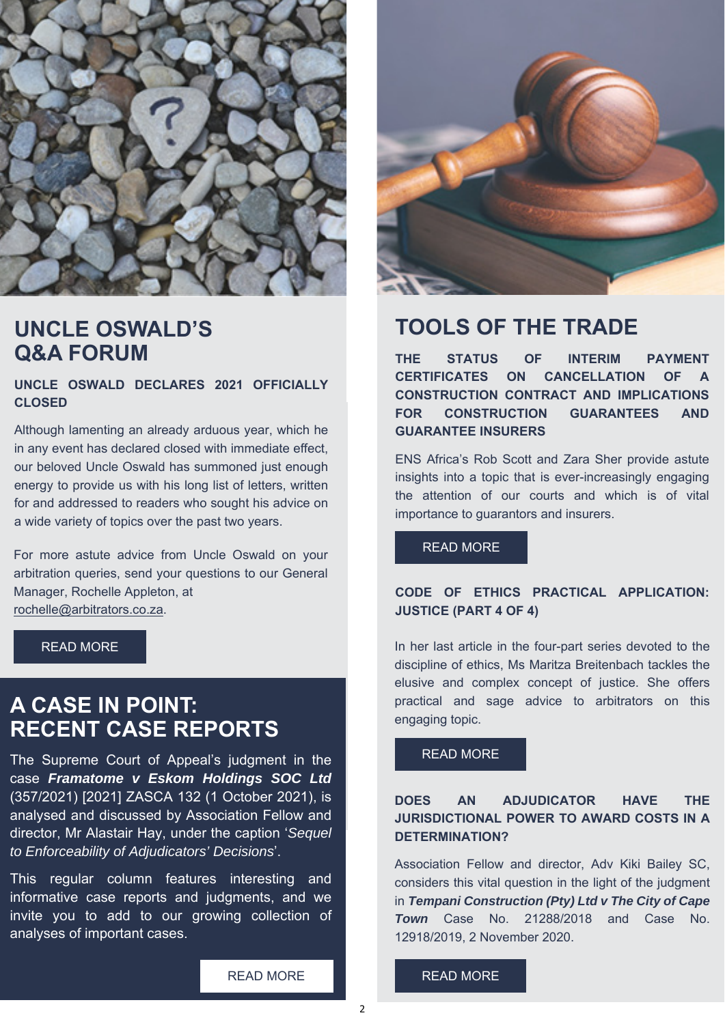

## **UNCLE OSWALD'S Q&A FORUM**

**UNCLE OSWALD DECLARES 2021 OFFICIALLY CLOSED**

Although lamenting an already arduous year, which he in any event has declared closed with immediate effect, our beloved Uncle Oswald has summoned just enough energy to provide us with his long list of letters, written for and addressed to readers who sought his advice on a wide variety of topics over the past two years.

For more astute advice from Uncle Oswald on your arbitration queries, send your questions to our General Manager, Rochelle Appleton, at rochelle@arbitrators.co.za.

## **A CASE IN POINT: RECENT CASE REPORTS**

The Supreme Court of Appeal's judgment in the case *Framatome v Eskom Holdings SOC Ltd* (357/2021) [2021] ZASCA 132 (1 October 2021), is analysed and discussed by Association Fellow and director, Mr Alastair Hay, under the caption '*Sequel to Enforceability of Adjudicators' Decisions*'.

This regular column features interesting and informative case reports and judgments, and we invite you to add to our growing collection of analyses of important cases.

[READ MORE](https://associationofarbitrators.lt.acemlnb.com/Prod/link-tracker?redirectUrl=aHR0cHMlM0ElMkYlMkZ3d3cuYXJiaXRyYXRvcnMuY28uemElMkZhLWNhc2UtaW4tcG9pbnQtcmVjZW50LWNhc2UtcmVwb3J0cy1ub3ZlbWJlci0yMDIxJTJG&sig=3DHGnj6bok2d8hx3xResDFivCADw8fkBjH7htKLW2ZCn&iat=1638338707&a=%7C%7C224134403%7C%7C&account=associationofarbitrators%2Eactivehosted%2Ecom&email=ulZsS3SqLjvzT4FLmN9rpxIYvJ4keyjQBdMsXRfmE20%3D&s=d1174a6b516d0d60c94447d4e3c326e7&i=30A70A6A445) 



## **TOOLS OF THE TRADE**

**THE STATUS OF INTERIM PAYMENT CERTIFICATES ON CANCELLATION OF A CONSTRUCTION CONTRACT AND IMPLICATIONS FOR CONSTRUCTION GUARANTEES AND GUARANTEE INSURERS**

ENS Africa's Rob Scott and Zara Sher provide astute insights into a topic that is ever-increasingly engaging the attention of our courts and which is of vital importance to guarantors and insurers.

#### [READ MORE](https://associationofarbitrators.lt.acemlnb.com/Prod/link-tracker?redirectUrl=aHR0cHMlM0ElMkYlMkZ3d3cuYXJiaXRyYXRvcnMuY28uemElMkZ0b29scy1vZi10aGUtdHJhZGVfbXItcm9iLXNjb3R0LWFuZC1tcy16YXJhLXNoZXItc3RhdHVzLW9mLWludGVyaW0tcGF5bWVudC1jZXJ0aWZpY2F0ZXMtbm92ZW1iZXItMjAyMSUyRg==&sig=8VYM1577yH8q1y5pfMtdCtaPcfRq73kABRvBmSYwZWje&iat=1638338707&a=%7C%7C224134403%7C%7C&account=associationofarbitrators%2Eactivehosted%2Ecom&email=ulZsS3SqLjvzT4FLmN9rpxIYvJ4keyjQBdMsXRfmE20%3D&s=d1174a6b516d0d60c94447d4e3c326e7&i=30A70A6A442)

### **CODE OF ETHICS PRACTICAL APPLICATION: JUSTICE (PART 4 OF 4)**

[READ MORE](https://associationofarbitrators.lt.acemlnb.com/Prod/link-tracker?redirectUrl=aHR0cHMlM0ElMkYlMkZ3d3cuYXJiaXRyYXRvcnMuY28uemElMkZ1bmNsZS1vc3dhbGRzLXFhLWZvcnVtLW5vdmVtYmVyLTIwMjElMkY=&sig=E2s2hnie922NgcZSisM1yyNjBbJc9rsgrndKtQoSAA3T&iat=1638338707&a=%7C%7C224134403%7C%7C&account=associationofarbitrators%2Eactivehosted%2Ecom&email=ulZsS3SqLjvzT4FLmN9rpxIYvJ4keyjQBdMsXRfmE20%3D&s=d1174a6b516d0d60c94447d4e3c326e7&i=30A70A6A441) **In her last article in the four-part series devoted to the** discipline of ethics, Ms Maritza Breitenbach tackles the elusive and complex concept of justice. She offers practical and sage advice to arbitrators on this engaging topic.

#### [READ MORE](https://associationofarbitrators.lt.acemlnb.com/Prod/link-tracker?redirectUrl=aHR0cHMlM0ElMkYlMkZ3d3cuYXJiaXRyYXRvcnMuY28uemElMkZ0b29scy1vZi10aGUtdHJhZGVfY29kZS1vZi1ldGhpY3MtZHItbS1icmVpdGVuYmFjaC1ub3ZlbWJlci0yMDIxJTJG&sig=CdUFkMf3X3bWPm1HvqLMypiztiqrtJvTts5yhJvT3kN4&iat=1638338707&a=%7C%7C224134403%7C%7C&account=associationofarbitrators%2Eactivehosted%2Ecom&email=ulZsS3SqLjvzT4FLmN9rpxIYvJ4keyjQBdMsXRfmE20%3D&s=d1174a6b516d0d60c94447d4e3c326e7&i=30A70A6A443)

### **DOES AN ADJUDICATOR HAVE THE JURISDICTIONAL POWER TO AWARD COSTS IN A DETERMINATION?**

Association Fellow and director, Adv Kiki Bailey SC, considers this vital question in the light of the judgment in *Tempani Construction (Pty) Ltd v The City of Cape Town* Case No. 21288/2018 and Case No. 12918/2019, 2 November 2020.

[READ MORE](https://associationofarbitrators.lt.acemlnb.com/Prod/link-tracker?redirectUrl=aHR0cHMlM0ElMkYlMkZ3d3cuYXJiaXRyYXRvcnMuY28uemElMkZ0b29scy1vZi10aGUtdHJhZGVfYWR2LWstYmFpbGV5LXNjLWFkanVkaWNhdG9ycy1qdXJpc2RpY3Rpb25hbC1wb3dlcnMtdG8tYXdhcmQtY29zdHMtbm92ZW1iZXItMjAyMSUyRg==&sig=3ah3mdYNnrJ5dgECeTRFdCZn9iBpDRcgnNtnWYCToaBA&iat=1638338707&a=%7C%7C224134403%7C%7C&account=associationofarbitrators%2Eactivehosted%2Ecom&email=ulZsS3SqLjvzT4FLmN9rpxIYvJ4keyjQBdMsXRfmE20%3D&s=d1174a6b516d0d60c94447d4e3c326e7&i=30A70A6A444)